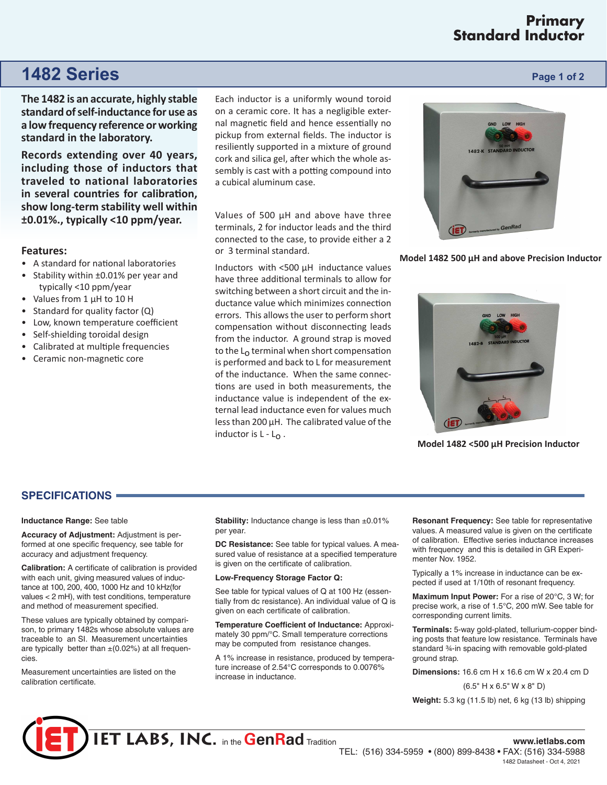## **Primary Standard Inductor**

# **1482 Series Page 1 of 2 Page 1 of 2 Page 1 of 2**

**The 1482 is an accurate, highly stable standard of self-inductance for use as a low frequency reference or working standard in the laboratory.** 

**Records extending over 40 years, including those of inductors that traveled to national laboratories in several countries for calibration. show long-term stability well within ±0.01%., typically <10 ppm/year.**

### **Features:**

- A standard for national laboratories
- Stability within ±0.01% per year and typically <10 ppm/year
- Values from 1 µH to 10 H
- Standard for quality factor  $(Q)$
- Low, known temperature coefficient
- Self-shielding toroidal design
- Calibrated at multiple frequencies
- Ceramic non-magnetic core

Each inductor is a uniformly wound toroid on a ceramic core. It has a negligible external magnetic field and hence essentially no pickup from external fields. The inductor is resiliently supported in a mixture of ground cork and silica gel, after which the whole assembly is cast with a potting compound into a cubical aluminum case.

Values of 500 µH and above have three terminals, 2 for inductor leads and the third connected to the case, to provide either a 2 or 3 terminal standard.

Inductors with <500 µH inductance values have three additional terminals to allow for switching between a short circuit and the inductance value which minimizes connection errors. This allows the user to perform short compensation without disconnecting leads from the inductor. A ground strap is moved to the  $L_0$  terminal when short compensation is performed and back to L for measurement of the inductance. When the same connec tions are used in both measurements, the inductance value is independent of the external lead inductance even for values much less than 200 µH. The calibrated value of the inductor is  $L - L_0$ .



**Model 1482 500 µH and above Precision Inductor**



**Model 1482 <500 µH Precision Inductor**

### **SPECIFICATIONS =**

#### **Inductance Range:** See table

**Accuracy of Adjustment:** Adjustment is performed at one specific frequency, see table for accuracy and adjustment frequency.

**Calibration:** A certificate of calibration is provided with each unit, giving measured values of inductance at 100, 200, 400, 1000 Hz and 10 kHz(for values < 2 mH), with test conditions, temperature and method of measurement specified.

These values are typically obtained by comparison, to primary 1482s whose absolute values are traceable to an SI. Measurement uncertainties are typically better than  $\pm$ (0.02%) at all frequencies.

Measurement uncertainties are listed on the calibration certificate.

**Stability:** Inductance change is less than ±0.01% per year.

**DC Resistance:** See table for typical values. A measured value of resistance at a specified temperature is given on the certificate of calibration.

#### **Low-Frequency Storage Factor Q:**

See table for typical values of Q at 100 Hz (essentially from dc resistance). An individual value of Q is given on each certificate of calibration.

**Temperature Coefficient of Inductance: Approxi**mately 30 ppm/°C. Small temperature corrections may be computed from resistance changes.

A 1% increase in resistance, produced by temperature increase of 2.54°C corresponds to 0.0076% increase in inductance.

**Resonant Frequency:** See table for representative values. A measured value is given on the certificate of calibration. Effective series inductance increases with frequency and this is detailed in GR Experimenter Nov. 1952.

Typically a 1% increase in inductance can be expected if used at 1/10th of resonant frequency.

**Maximum Input Power:** For a rise of 20°C, 3 W; for precise work, a rise of 1.5°C, 200 mW. See table for corresponding current limits.

**Terminals:** 5-way gold-plated, tellurium-copper binding posts that feature low resistance. Terminals have standard ¾-in spacing with removable gold-plated ground strap.

**Dimensions:** 16.6 cm H x 16.6 cm W x 20.4 cm D

(6.5" H x 6.5" W x 8" D)

**Weight:** 5.3 kg (11.5 lb) net, 6 kg (13 lb) shipping